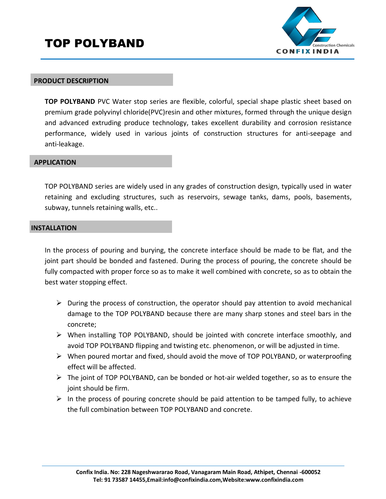# TOP POLYBAND



#### **PRODUCT DESCRIPTION**

**TOP POLYBAND** PVC Water stop series are flexible, colorful, special shape plastic sheet based on premium grade polyvinyl chloride(PVC)resin and other mixtures, formed through the unique design and advanced extruding produce technology, takes excellent durability and corrosion resistance performance, widely used in various joints of construction structures for anti‐seepage and anti‐leakage.

### **APPLICATION**

TOP POLYBAND series are widely used in any grades of construction design, typically used in water retaining and excluding structures, such as reservoirs, sewage tanks, dams, pools, basements, subway, tunnels retaining walls, etc..

#### **INSTALLATION**

In the process of pouring and burying, the concrete interface should be made to be flat, and the joint part should be bonded and fastened. During the process of pouring, the concrete should be fully compacted with proper force so as to make it well combined with concrete, so as to obtain the best water stopping effect.

- $\triangleright$  During the process of construction, the operator should pay attention to avoid mechanical damage to the TOP POLYBAND because there are many sharp stones and steel bars in the concrete;
- $\triangleright$  When installing TOP POLYBAND, should be jointed with concrete interface smoothly, and avoid TOP POLYBAND flipping and twisting etc. phenomenon, or will be adjusted in time.
- $\triangleright$  When poured mortar and fixed, should avoid the move of TOP POLYBAND, or waterproofing effect will be affected.
- $\triangleright$  The joint of TOP POLYBAND, can be bonded or hot-air welded together, so as to ensure the joint should be firm.
- $\triangleright$  In the process of pouring concrete should be paid attention to be tamped fully, to achieve the full combination between TOP POLYBAND and concrete.